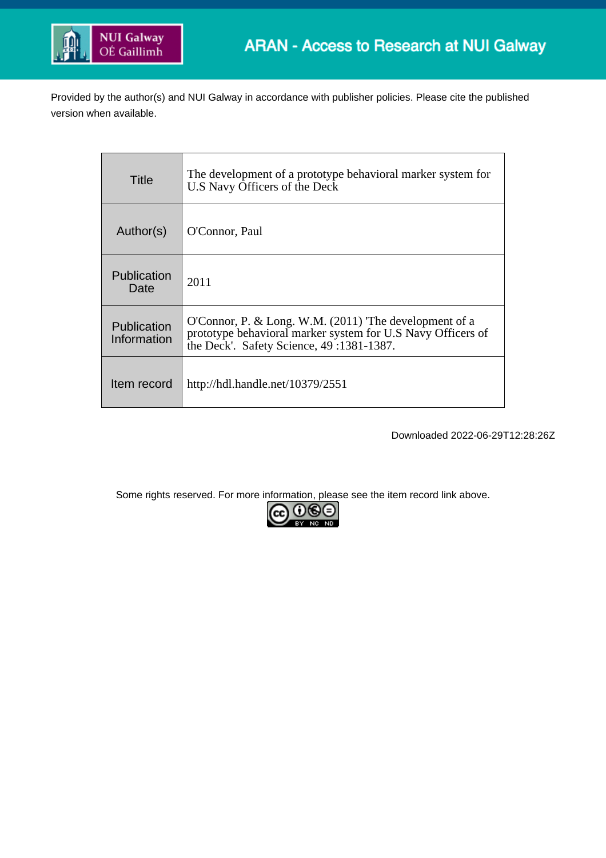

Provided by the author(s) and NUI Galway in accordance with publisher policies. Please cite the published version when available.

| Title                      | The development of a prototype behavioral marker system for<br>U.S Navy Officers of the Deck                                                                     |
|----------------------------|------------------------------------------------------------------------------------------------------------------------------------------------------------------|
| Author(s)                  | O'Connor, Paul                                                                                                                                                   |
| Publication<br>Date        | 2011                                                                                                                                                             |
| Publication<br>Information | O'Connor, P. & Long. W.M. (2011) The development of a<br>prototype behavioral marker system for U.S Navy Officers of<br>the Deck'. Safety Science, 49:1381-1387. |
| Item record                | http://hdl.handle.net/10379/2551                                                                                                                                 |

Downloaded 2022-06-29T12:28:26Z

Some rights reserved. For more information, please see the item record link above.

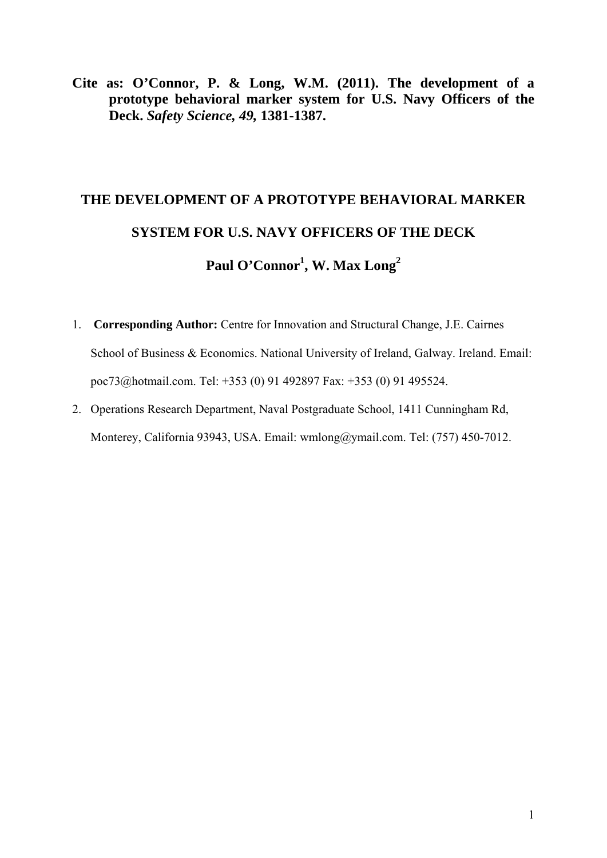**Cite as: O'Connor, P. & Long, W.M. (2011). The development of a prototype behavioral marker system for U.S. Navy Officers of the Deck.** *Safety Science, 49,* **1381-1387.** 

# **THE DEVELOPMENT OF A PROTOTYPE BEHAVIORAL MARKER SYSTEM FOR U.S. NAVY OFFICERS OF THE DECK**

Paul O'Connor<sup>1</sup>, W. Max Long<sup>2</sup>

- 1. **Corresponding Author:** Centre for Innovation and Structural Change, J.E. Cairnes School of Business & Economics. National University of Ireland, Galway. Ireland. Email: poc73@hotmail.com. Tel: +353 (0) 91 492897 Fax: +353 (0) 91 495524.
- 2. Operations Research Department, Naval Postgraduate School, 1411 Cunningham Rd, Monterey, California 93943, USA. Email: wmlong@ymail.com. Tel: (757) 450-7012.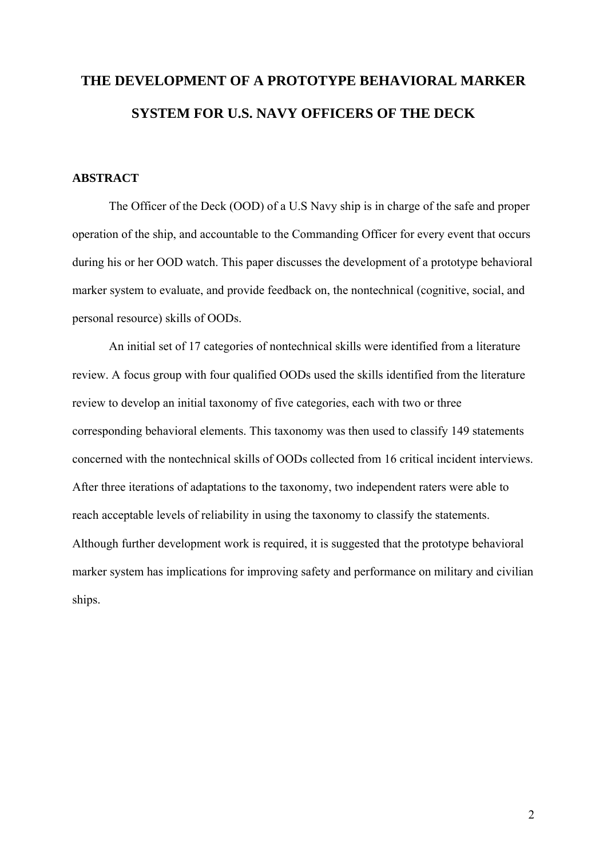## **THE DEVELOPMENT OF A PROTOTYPE BEHAVIORAL MARKER SYSTEM FOR U.S. NAVY OFFICERS OF THE DECK**

#### **ABSTRACT**

 The Officer of the Deck (OOD) of a U.S Navy ship is in charge of the safe and proper operation of the ship, and accountable to the Commanding Officer for every event that occurs during his or her OOD watch. This paper discusses the development of a prototype behavioral marker system to evaluate, and provide feedback on, the nontechnical (cognitive, social, and personal resource) skills of OODs.

An initial set of 17 categories of nontechnical skills were identified from a literature review. A focus group with four qualified OODs used the skills identified from the literature review to develop an initial taxonomy of five categories, each with two or three corresponding behavioral elements. This taxonomy was then used to classify 149 statements concerned with the nontechnical skills of OODs collected from 16 critical incident interviews. After three iterations of adaptations to the taxonomy, two independent raters were able to reach acceptable levels of reliability in using the taxonomy to classify the statements. Although further development work is required, it is suggested that the prototype behavioral marker system has implications for improving safety and performance on military and civilian ships.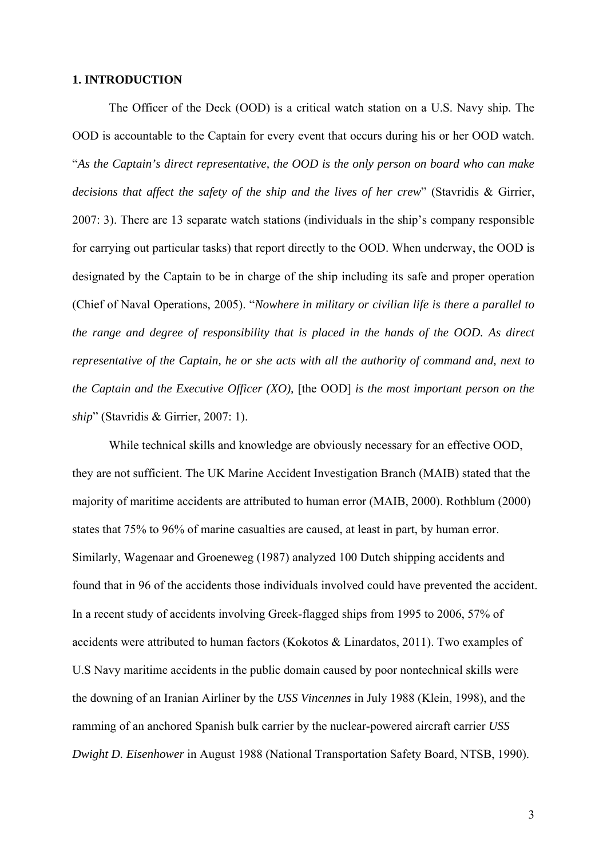#### **1. INTRODUCTION**

The Officer of the Deck (OOD) is a critical watch station on a U.S. Navy ship. The OOD is accountable to the Captain for every event that occurs during his or her OOD watch. "*As the Captain's direct representative, the OOD is the only person on board who can make decisions that affect the safety of the ship and the lives of her crew*" (Stavridis & Girrier, 2007: 3). There are 13 separate watch stations (individuals in the ship's company responsible for carrying out particular tasks) that report directly to the OOD. When underway, the OOD is designated by the Captain to be in charge of the ship including its safe and proper operation (Chief of Naval Operations, 2005). "*Nowhere in military or civilian life is there a parallel to the range and degree of responsibility that is placed in the hands of the OOD. As direct representative of the Captain, he or she acts with all the authority of command and, next to the Captain and the Executive Officer (XO),* [the OOD] *is the most important person on the ship*" (Stavridis & Girrier, 2007: 1).

 While technical skills and knowledge are obviously necessary for an effective OOD, they are not sufficient. The UK Marine Accident Investigation Branch (MAIB) stated that the majority of maritime accidents are attributed to human error (MAIB, 2000). Rothblum (2000) states that 75% to 96% of marine casualties are caused, at least in part, by human error. Similarly, Wagenaar and Groeneweg (1987) analyzed 100 Dutch shipping accidents and found that in 96 of the accidents those individuals involved could have prevented the accident. In a recent study of accidents involving Greek-flagged ships from 1995 to 2006, 57% of accidents were attributed to human factors (Kokotos & Linardatos, 2011). Two examples of U.S Navy maritime accidents in the public domain caused by poor nontechnical skills were the downing of an Iranian Airliner by the *USS Vincennes* in July 1988 (Klein, 1998), and the ramming of an anchored Spanish bulk carrier by the nuclear-powered aircraft carrier *USS Dwight D. Eisenhower* in August 1988 (National Transportation Safety Board, NTSB, 1990).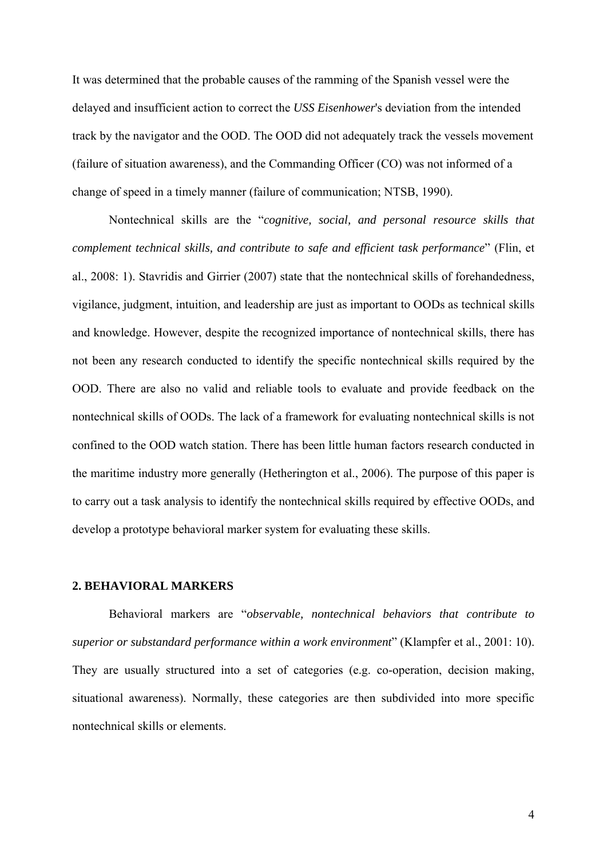It was determined that the probable causes of the ramming of the Spanish vessel were the delayed and insufficient action to correct the *USS Eisenhower*'s deviation from the intended track by the navigator and the OOD. The OOD did not adequately track the vessels movement (failure of situation awareness), and the Commanding Officer (CO) was not informed of a change of speed in a timely manner (failure of communication; NTSB, 1990).

Nontechnical skills are the "*cognitive, social, and personal resource skills that complement technical skills, and contribute to safe and efficient task performance*" (Flin, et al., 2008: 1). Stavridis and Girrier (2007) state that the nontechnical skills of forehandedness, vigilance, judgment, intuition, and leadership are just as important to OODs as technical skills and knowledge. However, despite the recognized importance of nontechnical skills, there has not been any research conducted to identify the specific nontechnical skills required by the OOD. There are also no valid and reliable tools to evaluate and provide feedback on the nontechnical skills of OODs. The lack of a framework for evaluating nontechnical skills is not confined to the OOD watch station. There has been little human factors research conducted in the maritime industry more generally (Hetherington et al., 2006). The purpose of this paper is to carry out a task analysis to identify the nontechnical skills required by effective OODs, and develop a prototype behavioral marker system for evaluating these skills.

#### **2. BEHAVIORAL MARKERS**

Behavioral markers are "*observable, nontechnical behaviors that contribute to superior or substandard performance within a work environment*" (Klampfer et al., 2001: 10). They are usually structured into a set of categories (e.g. co-operation, decision making, situational awareness). Normally, these categories are then subdivided into more specific nontechnical skills or elements.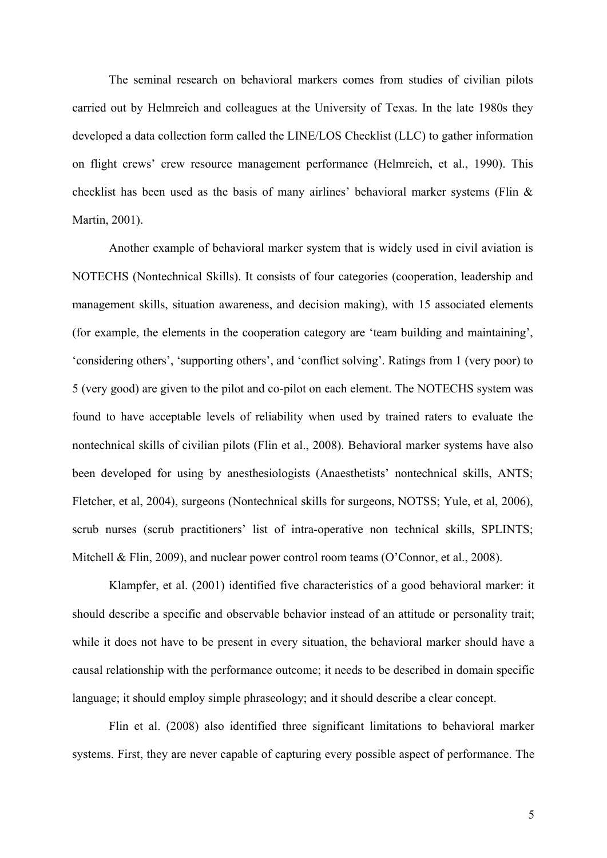The seminal research on behavioral markers comes from studies of civilian pilots carried out by Helmreich and colleagues at the University of Texas. In the late 1980s they developed a data collection form called the LINE/LOS Checklist (LLC) to gather information on flight crews' crew resource management performance (Helmreich, et al., 1990). This checklist has been used as the basis of many airlines' behavioral marker systems (Flin & Martin, 2001).

Another example of behavioral marker system that is widely used in civil aviation is NOTECHS (Nontechnical Skills). It consists of four categories (cooperation, leadership and management skills, situation awareness, and decision making), with 15 associated elements (for example, the elements in the cooperation category are 'team building and maintaining', 'considering others', 'supporting others', and 'conflict solving'. Ratings from 1 (very poor) to 5 (very good) are given to the pilot and co-pilot on each element. The NOTECHS system was found to have acceptable levels of reliability when used by trained raters to evaluate the nontechnical skills of civilian pilots (Flin et al., 2008). Behavioral marker systems have also been developed for using by anesthesiologists (Anaesthetists' nontechnical skills, ANTS; Fletcher, et al, 2004), surgeons (Nontechnical skills for surgeons, NOTSS; Yule, et al, 2006), scrub nurses (scrub practitioners' list of intra-operative non technical skills, SPLINTS; Mitchell & Flin, 2009), and nuclear power control room teams (O'Connor, et al., 2008).

Klampfer, et al. (2001) identified five characteristics of a good behavioral marker: it should describe a specific and observable behavior instead of an attitude or personality trait; while it does not have to be present in every situation, the behavioral marker should have a causal relationship with the performance outcome; it needs to be described in domain specific language; it should employ simple phraseology; and it should describe a clear concept.

Flin et al. (2008) also identified three significant limitations to behavioral marker systems. First, they are never capable of capturing every possible aspect of performance. The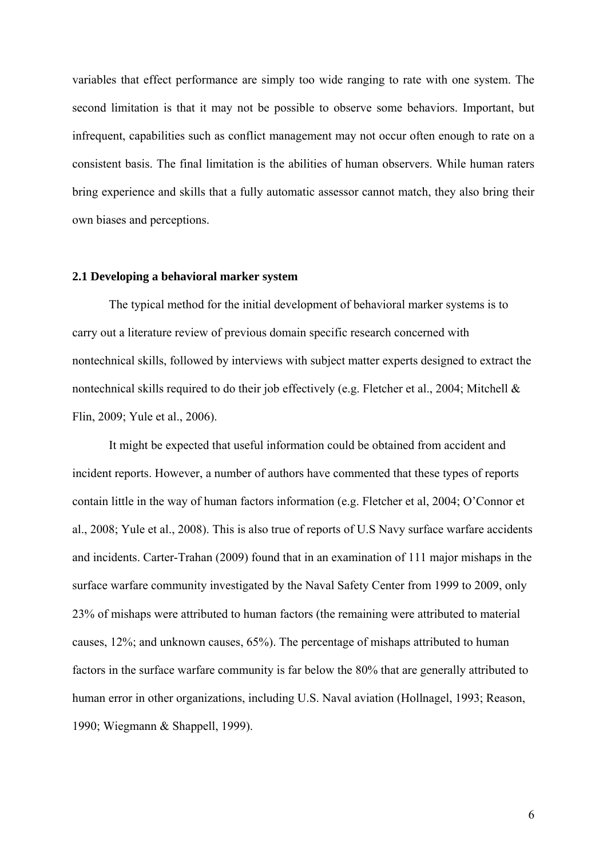variables that effect performance are simply too wide ranging to rate with one system. The second limitation is that it may not be possible to observe some behaviors. Important, but infrequent, capabilities such as conflict management may not occur often enough to rate on a consistent basis. The final limitation is the abilities of human observers. While human raters bring experience and skills that a fully automatic assessor cannot match, they also bring their own biases and perceptions.

#### **2.1 Developing a behavioral marker system**

The typical method for the initial development of behavioral marker systems is to carry out a literature review of previous domain specific research concerned with nontechnical skills, followed by interviews with subject matter experts designed to extract the nontechnical skills required to do their job effectively (e.g. Fletcher et al., 2004; Mitchell & Flin, 2009; Yule et al., 2006).

It might be expected that useful information could be obtained from accident and incident reports. However, a number of authors have commented that these types of reports contain little in the way of human factors information (e.g. Fletcher et al, 2004; O'Connor et al., 2008; Yule et al., 2008). This is also true of reports of U.S Navy surface warfare accidents and incidents. Carter-Trahan (2009) found that in an examination of 111 major mishaps in the surface warfare community investigated by the Naval Safety Center from 1999 to 2009, only 23% of mishaps were attributed to human factors (the remaining were attributed to material causes, 12%; and unknown causes, 65%). The percentage of mishaps attributed to human factors in the surface warfare community is far below the 80% that are generally attributed to human error in other organizations, including U.S. Naval aviation (Hollnagel, 1993; Reason, 1990; Wiegmann & Shappell, 1999).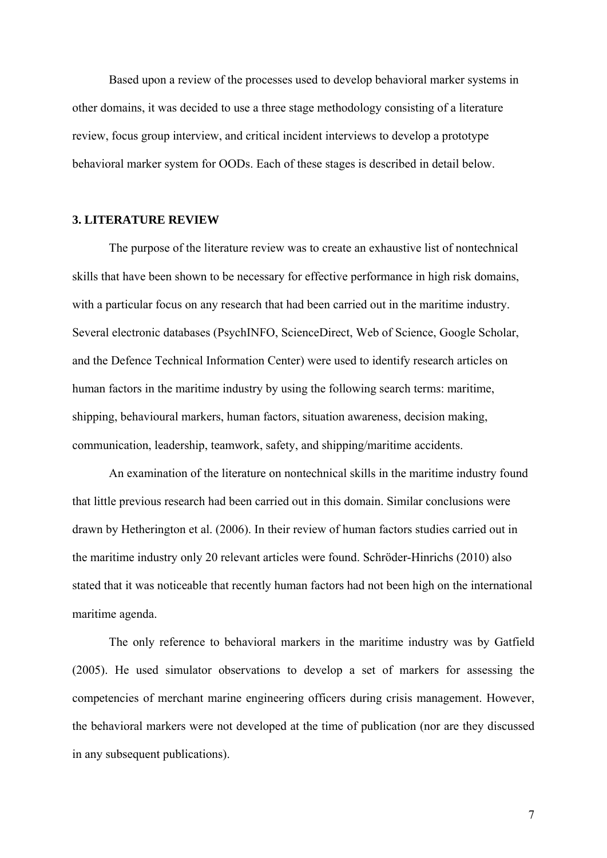Based upon a review of the processes used to develop behavioral marker systems in other domains, it was decided to use a three stage methodology consisting of a literature review, focus group interview, and critical incident interviews to develop a prototype behavioral marker system for OODs. Each of these stages is described in detail below.

#### **3. LITERATURE REVIEW**

 The purpose of the literature review was to create an exhaustive list of nontechnical skills that have been shown to be necessary for effective performance in high risk domains, with a particular focus on any research that had been carried out in the maritime industry. Several electronic databases (PsychINFO, ScienceDirect, Web of Science, Google Scholar, and the Defence Technical Information Center) were used to identify research articles on human factors in the maritime industry by using the following search terms: maritime, shipping, behavioural markers, human factors, situation awareness, decision making, communication, leadership, teamwork, safety, and shipping/maritime accidents.

An examination of the literature on nontechnical skills in the maritime industry found that little previous research had been carried out in this domain. Similar conclusions were drawn by Hetherington et al. (2006). In their review of human factors studies carried out in the maritime industry only 20 relevant articles were found. Schröder-Hinrichs (2010) also stated that it was noticeable that recently human factors had not been high on the international maritime agenda.

The only reference to behavioral markers in the maritime industry was by Gatfield (2005). He used simulator observations to develop a set of markers for assessing the competencies of merchant marine engineering officers during crisis management. However, the behavioral markers were not developed at the time of publication (nor are they discussed in any subsequent publications).

7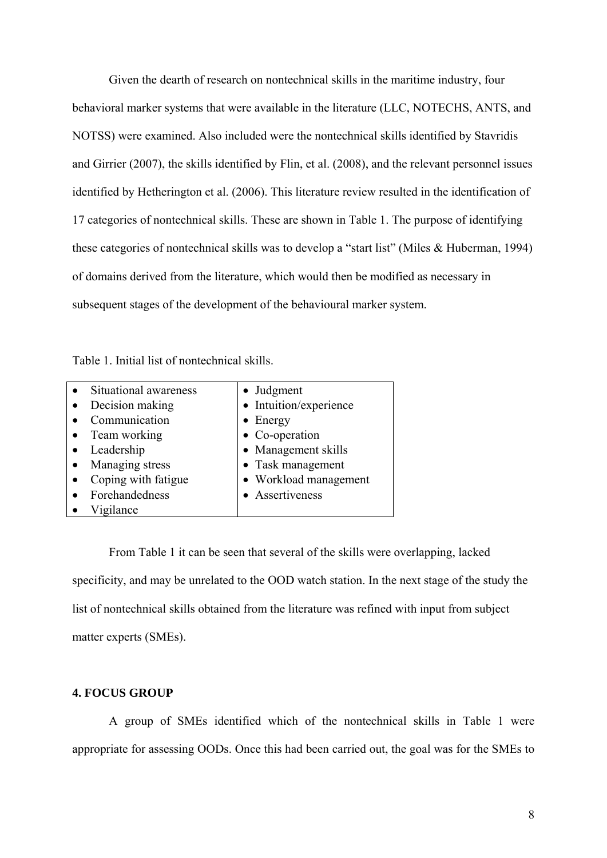Given the dearth of research on nontechnical skills in the maritime industry, four behavioral marker systems that were available in the literature (LLC, NOTECHS, ANTS, and NOTSS) were examined. Also included were the nontechnical skills identified by Stavridis and Girrier (2007), the skills identified by Flin, et al. (2008), and the relevant personnel issues identified by Hetherington et al. (2006). This literature review resulted in the identification of 17 categories of nontechnical skills. These are shown in Table 1. The purpose of identifying these categories of nontechnical skills was to develop a "start list" (Miles & Huberman, 1994) of domains derived from the literature, which would then be modified as necessary in subsequent stages of the development of the behavioural marker system.

|  | Table 1. Initial list of nontechnical skills. |  |
|--|-----------------------------------------------|--|
|--|-----------------------------------------------|--|

| Situational awareness | • Judgment             |
|-----------------------|------------------------|
| Decision making       | • Intuition/experience |
| Communication         | $\bullet$ Energy       |
| • Team working        | • Co-operation         |
| Leadership            | • Management skills    |
| Managing stress       | • Task management      |
| Coping with fatigue   | • Workload management  |
| Forehandedness        | • Assertiveness        |
| Vigilance             |                        |

From Table 1 it can be seen that several of the skills were overlapping, lacked specificity, and may be unrelated to the OOD watch station. In the next stage of the study the list of nontechnical skills obtained from the literature was refined with input from subject matter experts (SMEs).

#### **4. FOCUS GROUP**

A group of SMEs identified which of the nontechnical skills in Table 1 were appropriate for assessing OODs. Once this had been carried out, the goal was for the SMEs to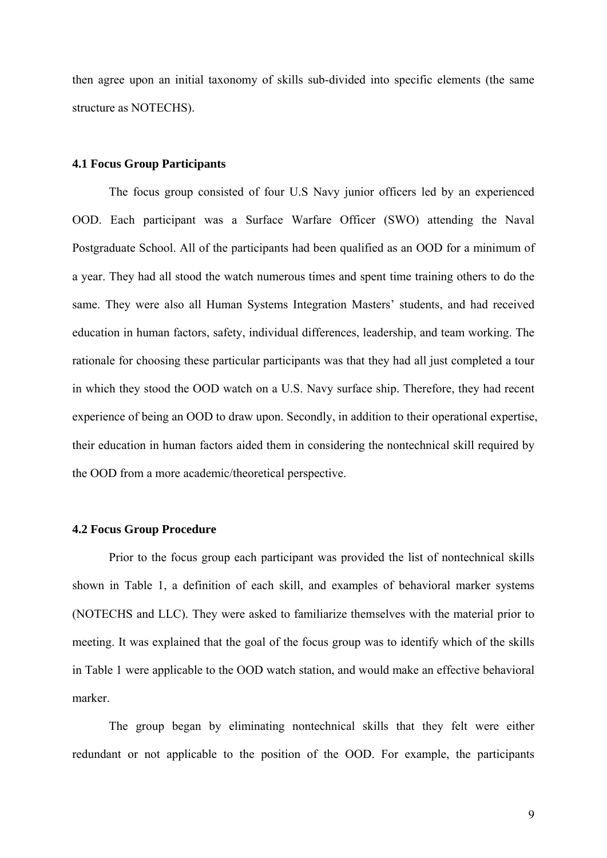then agree upon an initial taxonomy of skills sub-divided into specific elements (the same structure as NOTECHS).

#### **4.1 Focus Group Participants**

The focus group consisted of four U.S Navy junior officers led by an experienced OOD. Each participant was a Surface Warfare Officer (SWO) attending the Naval Postgraduate School. All of the participants had been qualified as an OOD for a minimum of a year. They had all stood the watch numerous times and spent time training others to do the same. They were also all Human Systems Integration Masters' students, and had received education in human factors, safety, individual differences, leadership, and team working. The rationale for choosing these particular participants was that they had all just completed a tour in which they stood the OOD watch on a U.S. Navy surface ship. Therefore, they had recent experience of being an OOD to draw upon. Secondly, in addition to their operational expertise, their education in human factors aided them in considering the nontechnical skill required by the OOD from a more academic/theoretical perspective.

#### **4.2 Focus Group Procedure**

Prior to the focus group each participant was provided the list of nontechnical skills shown in Table 1, a definition of each skill, and examples of behavioral marker systems (NOTECHS and LLC). They were asked to familiarize themselves with the material prior to meeting. It was explained that the goal of the focus group was to identify which of the skills in Table 1 were applicable to the OOD watch station, and would make an effective behavioral marker.

The group began by eliminating nontechnical skills that they felt were either redundant or not applicable to the position of the OOD. For example, the participants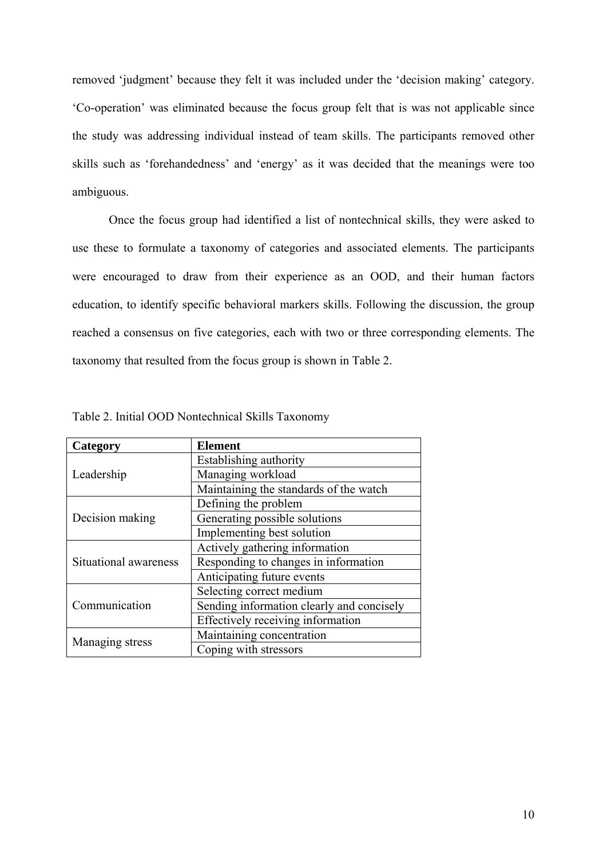removed 'judgment' because they felt it was included under the 'decision making' category. 'Co-operation' was eliminated because the focus group felt that is was not applicable since the study was addressing individual instead of team skills. The participants removed other skills such as 'forehandedness' and 'energy' as it was decided that the meanings were too ambiguous.

Once the focus group had identified a list of nontechnical skills, they were asked to use these to formulate a taxonomy of categories and associated elements. The participants were encouraged to draw from their experience as an OOD, and their human factors education, to identify specific behavioral markers skills. Following the discussion, the group reached a consensus on five categories, each with two or three corresponding elements. The taxonomy that resulted from the focus group is shown in Table 2.

| Category              | <b>Element</b>                            |  |  |
|-----------------------|-------------------------------------------|--|--|
|                       | Establishing authority                    |  |  |
| Leadership            | Managing workload                         |  |  |
|                       | Maintaining the standards of the watch    |  |  |
|                       | Defining the problem                      |  |  |
| Decision making       | Generating possible solutions             |  |  |
|                       | Implementing best solution                |  |  |
|                       | Actively gathering information            |  |  |
| Situational awareness | Responding to changes in information      |  |  |
|                       | Anticipating future events                |  |  |
|                       | Selecting correct medium                  |  |  |
| Communication         | Sending information clearly and concisely |  |  |
|                       | Effectively receiving information         |  |  |
| Managing stress       | Maintaining concentration                 |  |  |
|                       | Coping with stressors                     |  |  |

Table 2. Initial OOD Nontechnical Skills Taxonomy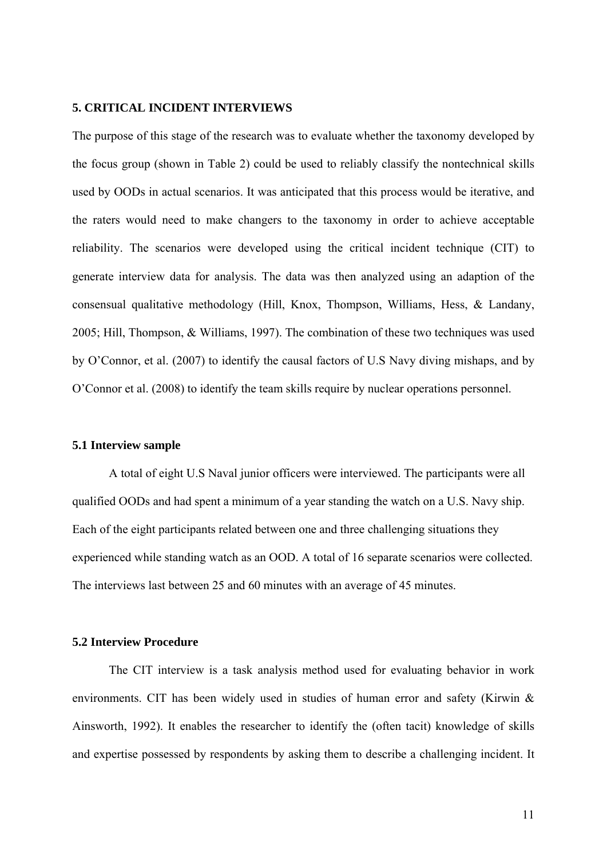#### **5. CRITICAL INCIDENT INTERVIEWS**

The purpose of this stage of the research was to evaluate whether the taxonomy developed by the focus group (shown in Table 2) could be used to reliably classify the nontechnical skills used by OODs in actual scenarios. It was anticipated that this process would be iterative, and the raters would need to make changers to the taxonomy in order to achieve acceptable reliability. The scenarios were developed using the critical incident technique (CIT) to generate interview data for analysis. The data was then analyzed using an adaption of the consensual qualitative methodology (Hill, Knox, Thompson, Williams, Hess, & Landany, 2005; Hill, Thompson, & Williams, 1997). The combination of these two techniques was used by O'Connor, et al. (2007) to identify the causal factors of U.S Navy diving mishaps, and by O'Connor et al. (2008) to identify the team skills require by nuclear operations personnel.

#### **5.1 Interview sample**

A total of eight U.S Naval junior officers were interviewed. The participants were all qualified OODs and had spent a minimum of a year standing the watch on a U.S. Navy ship. Each of the eight participants related between one and three challenging situations they experienced while standing watch as an OOD. A total of 16 separate scenarios were collected. The interviews last between 25 and 60 minutes with an average of 45 minutes.

#### **5.2 Interview Procedure**

The CIT interview is a task analysis method used for evaluating behavior in work environments. CIT has been widely used in studies of human error and safety (Kirwin & Ainsworth, 1992). It enables the researcher to identify the (often tacit) knowledge of skills and expertise possessed by respondents by asking them to describe a challenging incident. It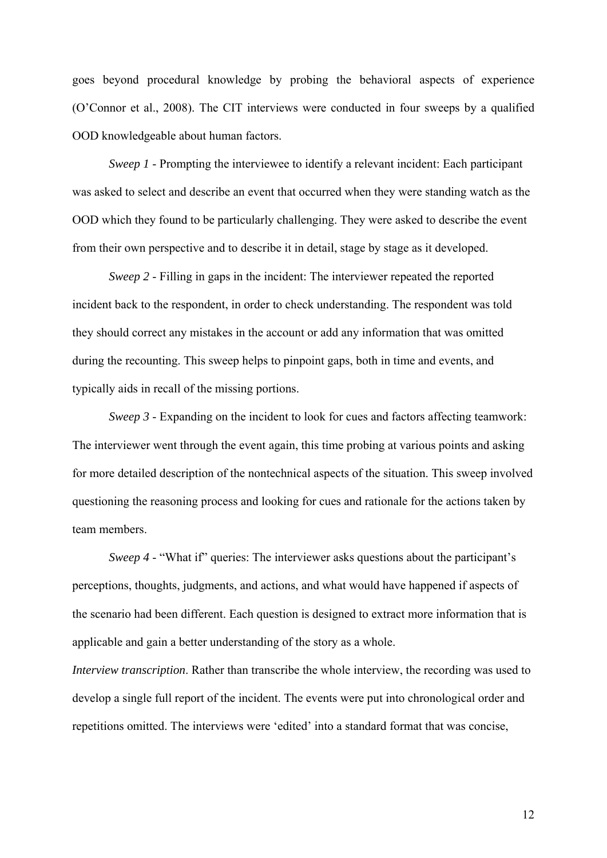goes beyond procedural knowledge by probing the behavioral aspects of experience (O'Connor et al., 2008). The CIT interviews were conducted in four sweeps by a qualified OOD knowledgeable about human factors.

*Sweep 1* - Prompting the interviewee to identify a relevant incident: Each participant was asked to select and describe an event that occurred when they were standing watch as the OOD which they found to be particularly challenging. They were asked to describe the event from their own perspective and to describe it in detail, stage by stage as it developed.

*Sweep 2* - Filling in gaps in the incident: The interviewer repeated the reported incident back to the respondent, in order to check understanding. The respondent was told they should correct any mistakes in the account or add any information that was omitted during the recounting. This sweep helps to pinpoint gaps, both in time and events, and typically aids in recall of the missing portions.

*Sweep 3* - Expanding on the incident to look for cues and factors affecting teamwork: The interviewer went through the event again, this time probing at various points and asking for more detailed description of the nontechnical aspects of the situation. This sweep involved questioning the reasoning process and looking for cues and rationale for the actions taken by team members.

*Sweep 4* - "What if" queries: The interviewer asks questions about the participant's perceptions, thoughts, judgments, and actions, and what would have happened if aspects of the scenario had been different. Each question is designed to extract more information that is applicable and gain a better understanding of the story as a whole.

*Interview transcription*. Rather than transcribe the whole interview, the recording was used to develop a single full report of the incident. The events were put into chronological order and repetitions omitted. The interviews were 'edited' into a standard format that was concise,

12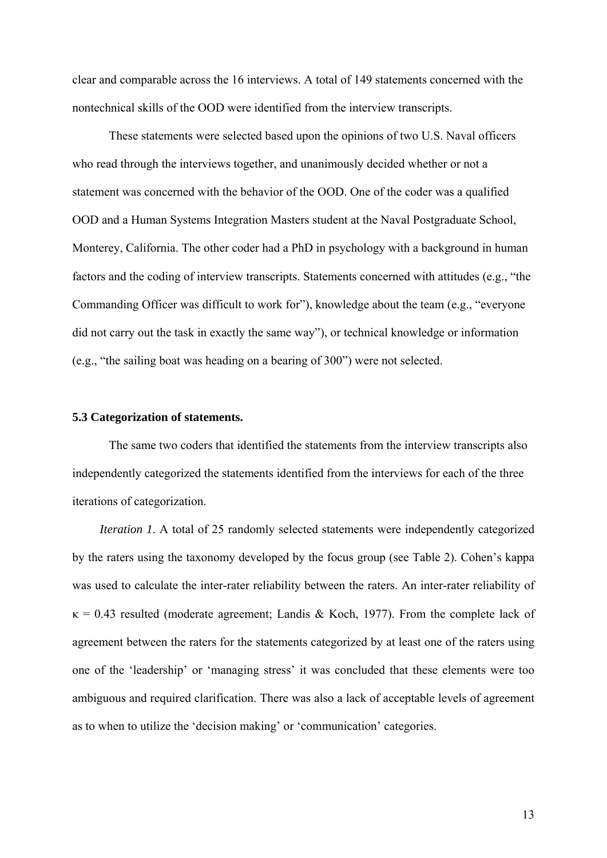clear and comparable across the 16 interviews. A total of 149 statements concerned with the nontechnical skills of the OOD were identified from the interview transcripts.

These statements were selected based upon the opinions of two U.S. Naval officers who read through the interviews together, and unanimously decided whether or not a statement was concerned with the behavior of the OOD. One of the coder was a qualified OOD and a Human Systems Integration Masters student at the Naval Postgraduate School, Monterey, California. The other coder had a PhD in psychology with a background in human factors and the coding of interview transcripts. Statements concerned with attitudes (e.g., "the Commanding Officer was difficult to work for"), knowledge about the team (e.g., "everyone did not carry out the task in exactly the same way"), or technical knowledge or information (e.g., "the sailing boat was heading on a bearing of 300") were not selected.

#### **5.3 Categorization of statements.**

The same two coders that identified the statements from the interview transcripts also independently categorized the statements identified from the interviews for each of the three iterations of categorization.

*Iteration 1*. A total of 25 randomly selected statements were independently categorized by the raters using the taxonomy developed by the focus group (see Table 2). Cohen's kappa was used to calculate the inter-rater reliability between the raters. An inter-rater reliability of  $\kappa$  = 0.43 resulted (moderate agreement; Landis & Koch, 1977). From the complete lack of agreement between the raters for the statements categorized by at least one of the raters using one of the 'leadership' or 'managing stress' it was concluded that these elements were too ambiguous and required clarification. There was also a lack of acceptable levels of agreement as to when to utilize the 'decision making' or 'communication' categories.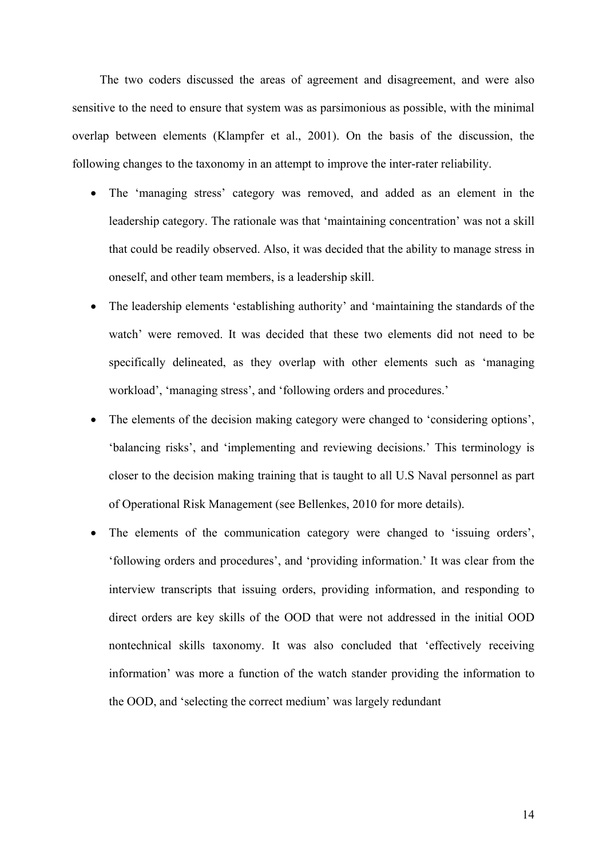The two coders discussed the areas of agreement and disagreement, and were also sensitive to the need to ensure that system was as parsimonious as possible, with the minimal overlap between elements (Klampfer et al., 2001). On the basis of the discussion, the following changes to the taxonomy in an attempt to improve the inter-rater reliability.

- The 'managing stress' category was removed, and added as an element in the leadership category. The rationale was that 'maintaining concentration' was not a skill that could be readily observed. Also, it was decided that the ability to manage stress in oneself, and other team members, is a leadership skill.
- The leadership elements 'establishing authority' and 'maintaining the standards of the watch' were removed. It was decided that these two elements did not need to be specifically delineated, as they overlap with other elements such as 'managing workload', 'managing stress', and 'following orders and procedures.'
- The elements of the decision making category were changed to 'considering options', 'balancing risks', and 'implementing and reviewing decisions.' This terminology is closer to the decision making training that is taught to all U.S Naval personnel as part of Operational Risk Management (see Bellenkes, 2010 for more details).
- The elements of the communication category were changed to 'issuing orders', 'following orders and procedures', and 'providing information.' It was clear from the interview transcripts that issuing orders, providing information, and responding to direct orders are key skills of the OOD that were not addressed in the initial OOD nontechnical skills taxonomy. It was also concluded that 'effectively receiving information' was more a function of the watch stander providing the information to the OOD, and 'selecting the correct medium' was largely redundant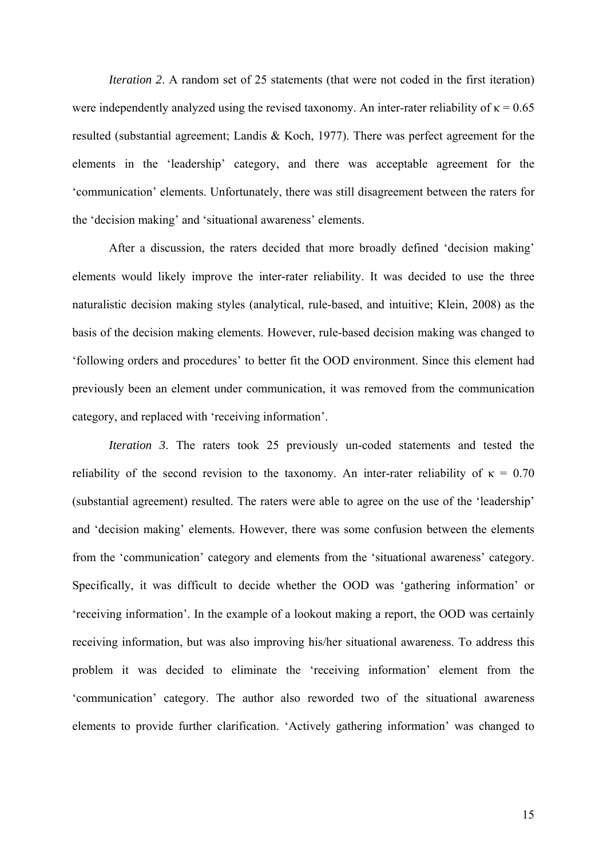*Iteration 2.* A random set of 25 statements (that were not coded in the first iteration) were independently analyzed using the revised taxonomy. An inter-rater reliability of  $\kappa = 0.65$ resulted (substantial agreement; Landis & Koch, 1977). There was perfect agreement for the elements in the 'leadership' category, and there was acceptable agreement for the 'communication' elements. Unfortunately, there was still disagreement between the raters for the 'decision making' and 'situational awareness' elements.

After a discussion, the raters decided that more broadly defined 'decision making' elements would likely improve the inter-rater reliability. It was decided to use the three naturalistic decision making styles (analytical, rule-based, and intuitive; Klein, 2008) as the basis of the decision making elements. However, rule-based decision making was changed to 'following orders and procedures' to better fit the OOD environment. Since this element had previously been an element under communication, it was removed from the communication category, and replaced with 'receiving information'.

*Iteration 3*. The raters took 25 previously un-coded statements and tested the reliability of the second revision to the taxonomy. An inter-rater reliability of  $\kappa = 0.70$ (substantial agreement) resulted. The raters were able to agree on the use of the 'leadership' and 'decision making' elements. However, there was some confusion between the elements from the 'communication' category and elements from the 'situational awareness' category. Specifically, it was difficult to decide whether the OOD was 'gathering information' or 'receiving information'. In the example of a lookout making a report, the OOD was certainly receiving information, but was also improving his/her situational awareness. To address this problem it was decided to eliminate the 'receiving information' element from the 'communication' category. The author also reworded two of the situational awareness elements to provide further clarification. 'Actively gathering information' was changed to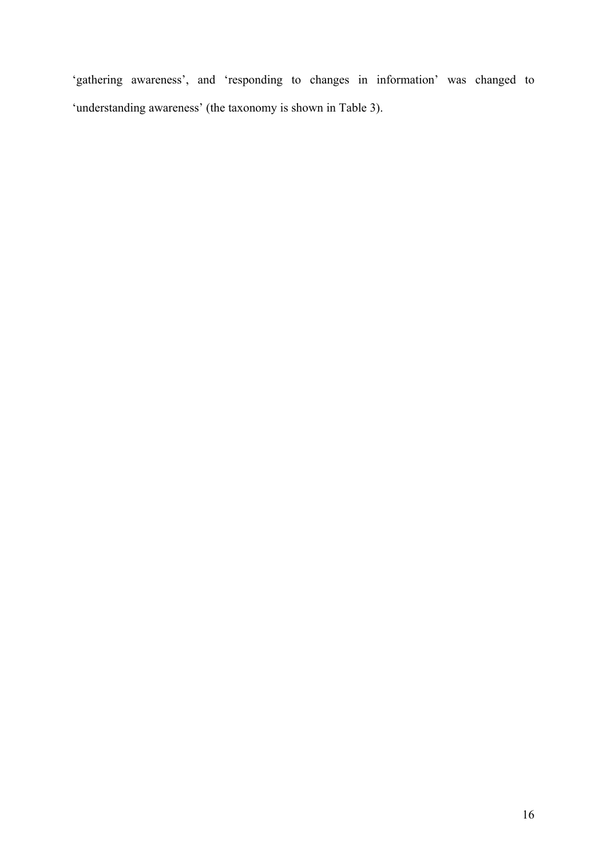'gathering awareness', and 'responding to changes in information' was changed to 'understanding awareness' (the taxonomy is shown in Table 3).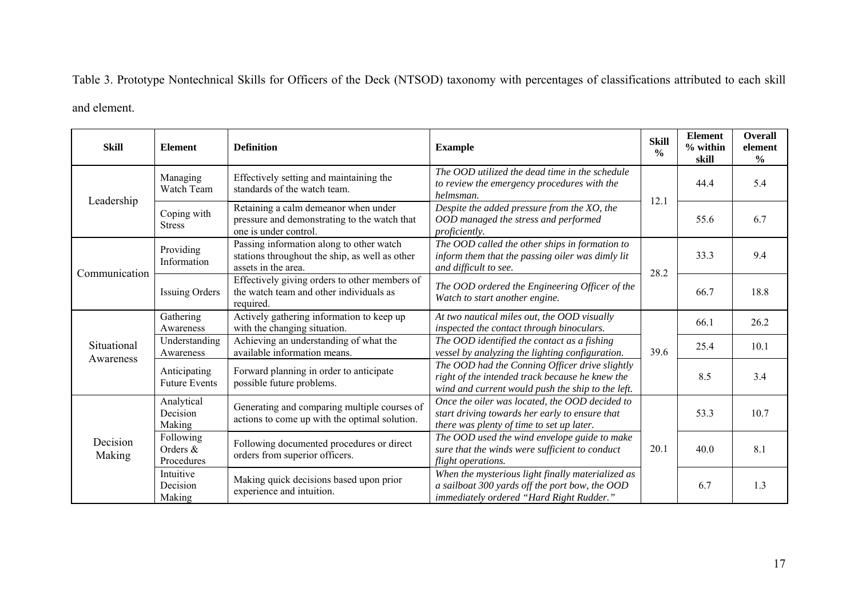Table 3. Prototype Nontechnical Skills for Officers of the Deck (NTSOD) taxonomy with percentages of classifications attributed to each skill

and element.

| <b>Skill</b>             | <b>Element</b>                       | <b>Definition</b>                                                                                                 | <b>Example</b>                                                                                                                                         | <b>Skill</b><br>$\frac{0}{0}$ | <b>Element</b><br>$%$ within<br>skill | <b>Overall</b><br>element<br>$\frac{0}{0}$ |
|--------------------------|--------------------------------------|-------------------------------------------------------------------------------------------------------------------|--------------------------------------------------------------------------------------------------------------------------------------------------------|-------------------------------|---------------------------------------|--------------------------------------------|
| Leadership               | Managing<br>Watch Team               | Effectively setting and maintaining the<br>standards of the watch team.                                           | The OOD utilized the dead time in the schedule<br>to review the emergency procedures with the<br>helmsman.                                             | 12.1                          | 44.4                                  | 5.4                                        |
|                          | Coping with<br><b>Stress</b>         | Retaining a calm demeanor when under<br>pressure and demonstrating to the watch that<br>one is under control.     | Despite the added pressure from the XO, the<br>OOD managed the stress and performed<br>proficiently.                                                   |                               | 55.6                                  | 6.7                                        |
| Communication            | Providing<br>Information             | Passing information along to other watch<br>stations throughout the ship, as well as other<br>assets in the area. | The OOD called the other ships in formation to<br>inform them that the passing oiler was dimly lit<br>and difficult to see.                            | 28.2                          | 33.3                                  | 9.4                                        |
|                          | <b>Issuing Orders</b>                | Effectively giving orders to other members of<br>the watch team and other individuals as<br>required.             | The OOD ordered the Engineering Officer of the<br>Watch to start another engine.                                                                       |                               | 66.7                                  | 18.8                                       |
| Situational<br>Awareness | Gathering<br>Awareness               | Actively gathering information to keep up<br>with the changing situation.                                         | At two nautical miles out, the OOD visually<br>inspected the contact through binoculars.                                                               | 39.6                          | 66.1                                  | 26.2                                       |
|                          | Understanding<br>Awareness           | Achieving an understanding of what the<br>available information means.                                            | The OOD identified the contact as a fishing<br>vessel by analyzing the lighting configuration.                                                         |                               | 25.4                                  | 10.1                                       |
|                          | Anticipating<br><b>Future Events</b> | Forward planning in order to anticipate<br>possible future problems.                                              | The OOD had the Conning Officer drive slightly<br>right of the intended track because he knew the<br>wind and current would push the ship to the left. |                               | 8.5                                   | 3.4                                        |
| Decision<br>Making       | Analytical<br>Decision<br>Making     | Generating and comparing multiple courses of<br>actions to come up with the optimal solution.                     | Once the oiler was located, the OOD decided to<br>start driving towards her early to ensure that<br>there was plenty of time to set up later.          | 20.1                          | 53.3                                  | 10.7                                       |
|                          | Following<br>Orders &<br>Procedures  | Following documented procedures or direct<br>orders from superior officers.                                       | The OOD used the wind envelope guide to make<br>sure that the winds were sufficient to conduct<br>flight operations.                                   |                               | 40.0                                  | 8.1                                        |
|                          | Intuitive<br>Decision<br>Making      | Making quick decisions based upon prior<br>experience and intuition.                                              | When the mysterious light finally materialized as<br>a sailboat 300 yards off the port bow, the OOD<br>immediately ordered "Hard Right Rudder."        |                               | 6.7                                   | 1.3                                        |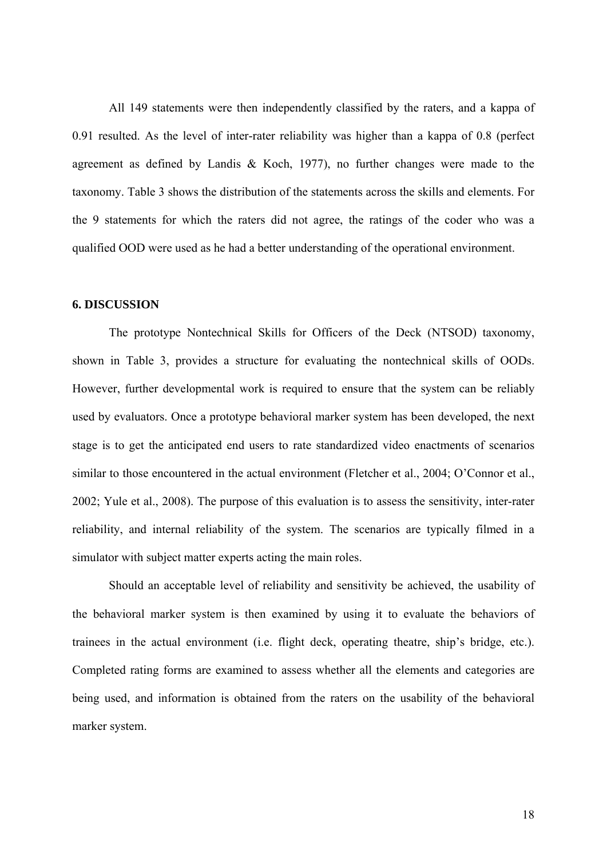All 149 statements were then independently classified by the raters, and a kappa of 0.91 resulted. As the level of inter-rater reliability was higher than a kappa of 0.8 (perfect agreement as defined by Landis & Koch, 1977), no further changes were made to the taxonomy. Table 3 shows the distribution of the statements across the skills and elements. For the 9 statements for which the raters did not agree, the ratings of the coder who was a qualified OOD were used as he had a better understanding of the operational environment.

#### **6. DISCUSSION**

The prototype Nontechnical Skills for Officers of the Deck (NTSOD) taxonomy, shown in Table 3, provides a structure for evaluating the nontechnical skills of OODs. However, further developmental work is required to ensure that the system can be reliably used by evaluators. Once a prototype behavioral marker system has been developed, the next stage is to get the anticipated end users to rate standardized video enactments of scenarios similar to those encountered in the actual environment (Fletcher et al., 2004; O'Connor et al., 2002; Yule et al., 2008). The purpose of this evaluation is to assess the sensitivity, inter-rater reliability, and internal reliability of the system. The scenarios are typically filmed in a simulator with subject matter experts acting the main roles.

Should an acceptable level of reliability and sensitivity be achieved, the usability of the behavioral marker system is then examined by using it to evaluate the behaviors of trainees in the actual environment (i.e. flight deck, operating theatre, ship's bridge, etc.). Completed rating forms are examined to assess whether all the elements and categories are being used, and information is obtained from the raters on the usability of the behavioral marker system.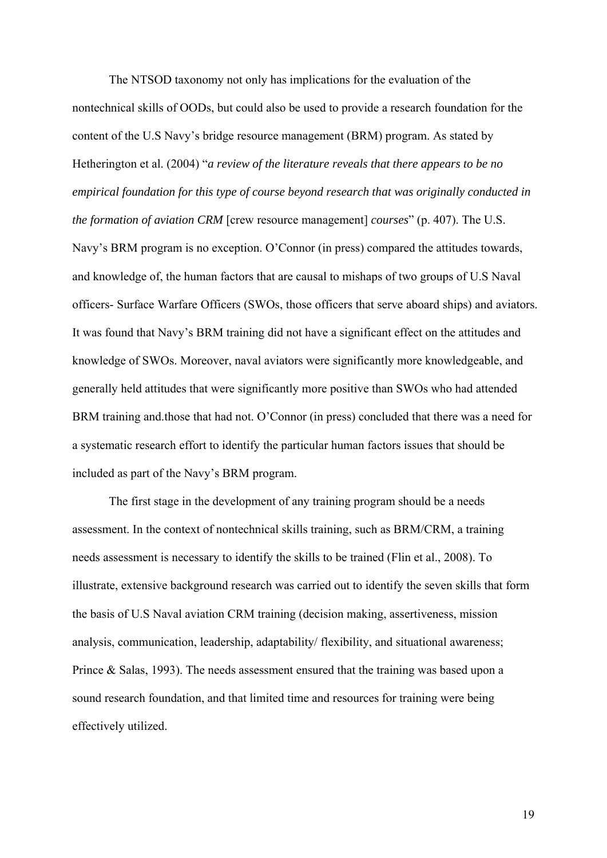The NTSOD taxonomy not only has implications for the evaluation of the nontechnical skills of OODs, but could also be used to provide a research foundation for the content of the U.S Navy's bridge resource management (BRM) program. As stated by Hetherington et al. (2004) "*a review of the literature reveals that there appears to be no empirical foundation for this type of course beyond research that was originally conducted in the formation of aviation CRM* [crew resource management] *courses*" (p. 407). The U.S. Navy's BRM program is no exception. O'Connor (in press) compared the attitudes towards, and knowledge of, the human factors that are causal to mishaps of two groups of U.S Naval officers- Surface Warfare Officers (SWOs, those officers that serve aboard ships) and aviators. It was found that Navy's BRM training did not have a significant effect on the attitudes and knowledge of SWOs. Moreover, naval aviators were significantly more knowledgeable, and generally held attitudes that were significantly more positive than SWOs who had attended BRM training and.those that had not. O'Connor (in press) concluded that there was a need for a systematic research effort to identify the particular human factors issues that should be included as part of the Navy's BRM program.

The first stage in the development of any training program should be a needs assessment. In the context of nontechnical skills training, such as BRM/CRM, a training needs assessment is necessary to identify the skills to be trained (Flin et al., 2008). To illustrate, extensive background research was carried out to identify the seven skills that form the basis of U.S Naval aviation CRM training (decision making, assertiveness, mission analysis, communication, leadership, adaptability/ flexibility, and situational awareness; Prince & Salas, 1993). The needs assessment ensured that the training was based upon a sound research foundation, and that limited time and resources for training were being effectively utilized.

19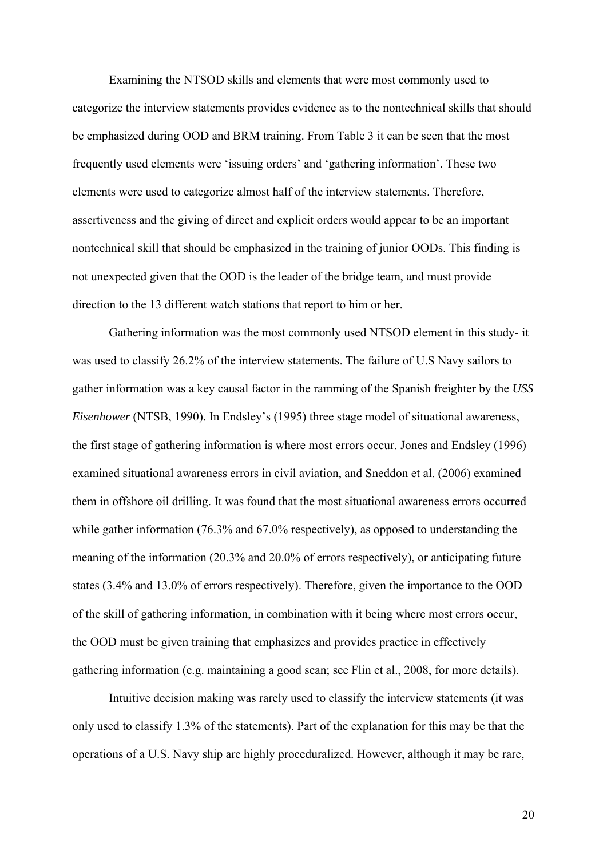Examining the NTSOD skills and elements that were most commonly used to categorize the interview statements provides evidence as to the nontechnical skills that should be emphasized during OOD and BRM training. From Table 3 it can be seen that the most frequently used elements were 'issuing orders' and 'gathering information'. These two elements were used to categorize almost half of the interview statements. Therefore, assertiveness and the giving of direct and explicit orders would appear to be an important nontechnical skill that should be emphasized in the training of junior OODs. This finding is not unexpected given that the OOD is the leader of the bridge team, and must provide direction to the 13 different watch stations that report to him or her.

Gathering information was the most commonly used NTSOD element in this study- it was used to classify 26.2% of the interview statements. The failure of U.S Navy sailors to gather information was a key causal factor in the ramming of the Spanish freighter by the *USS Eisenhower* (NTSB, 1990). In Endsley's (1995) three stage model of situational awareness, the first stage of gathering information is where most errors occur. Jones and Endsley (1996) examined situational awareness errors in civil aviation, and Sneddon et al. (2006) examined them in offshore oil drilling. It was found that the most situational awareness errors occurred while gather information (76.3% and 67.0% respectively), as opposed to understanding the meaning of the information (20.3% and 20.0% of errors respectively), or anticipating future states (3.4% and 13.0% of errors respectively). Therefore, given the importance to the OOD of the skill of gathering information, in combination with it being where most errors occur, the OOD must be given training that emphasizes and provides practice in effectively gathering information (e.g. maintaining a good scan; see Flin et al., 2008, for more details).

Intuitive decision making was rarely used to classify the interview statements (it was only used to classify 1.3% of the statements). Part of the explanation for this may be that the operations of a U.S. Navy ship are highly proceduralized. However, although it may be rare,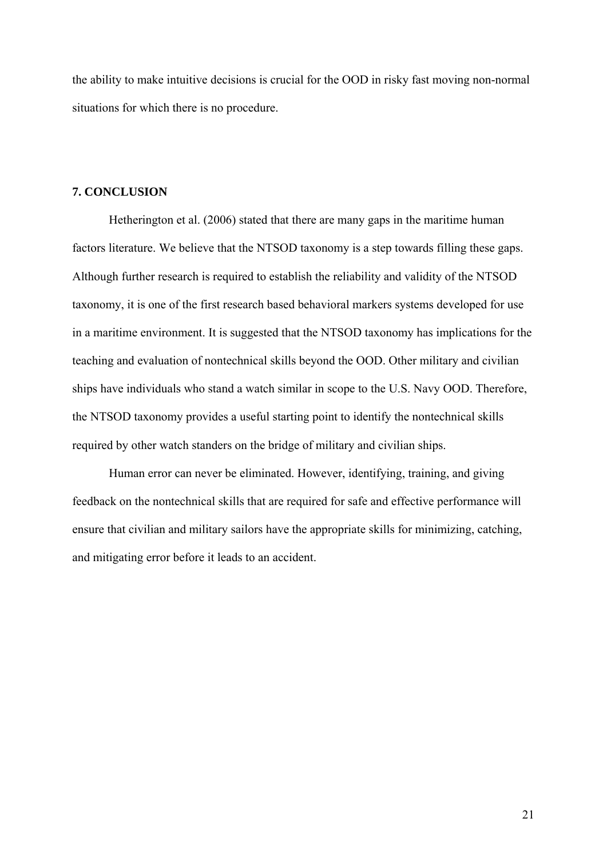the ability to make intuitive decisions is crucial for the OOD in risky fast moving non-normal situations for which there is no procedure.

#### **7. CONCLUSION**

Hetherington et al. (2006) stated that there are many gaps in the maritime human factors literature. We believe that the NTSOD taxonomy is a step towards filling these gaps. Although further research is required to establish the reliability and validity of the NTSOD taxonomy, it is one of the first research based behavioral markers systems developed for use in a maritime environment. It is suggested that the NTSOD taxonomy has implications for the teaching and evaluation of nontechnical skills beyond the OOD. Other military and civilian ships have individuals who stand a watch similar in scope to the U.S. Navy OOD. Therefore, the NTSOD taxonomy provides a useful starting point to identify the nontechnical skills required by other watch standers on the bridge of military and civilian ships.

Human error can never be eliminated. However, identifying, training, and giving feedback on the nontechnical skills that are required for safe and effective performance will ensure that civilian and military sailors have the appropriate skills for minimizing, catching, and mitigating error before it leads to an accident.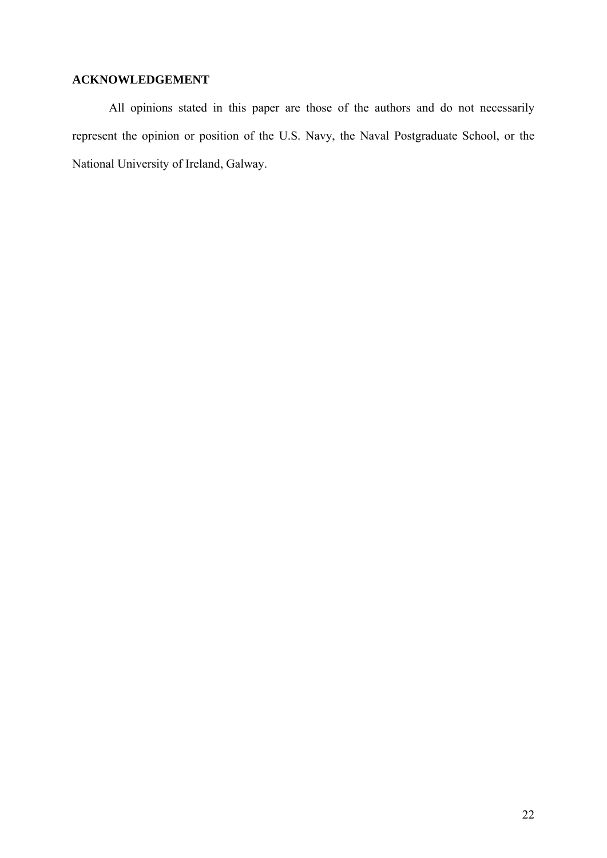### **ACKNOWLEDGEMENT**

All opinions stated in this paper are those of the authors and do not necessarily represent the opinion or position of the U.S. Navy, the Naval Postgraduate School, or the National University of Ireland, Galway.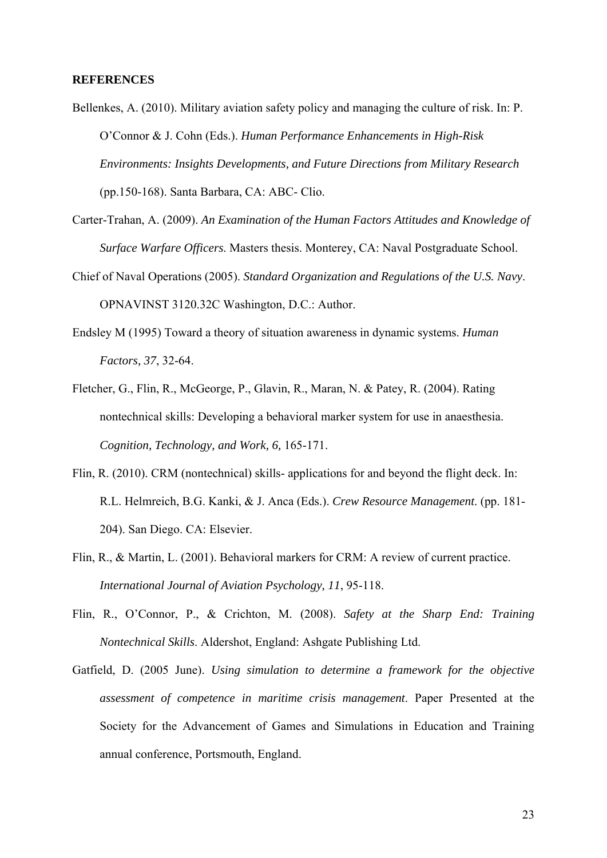#### **REFERENCES**

- Bellenkes, A. (2010). Military aviation safety policy and managing the culture of risk. In: P. O'Connor & J. Cohn (Eds.). *Human Performance Enhancements in High-Risk Environments: Insights Developments, and Future Directions from Military Research* (pp.150-168). Santa Barbara, CA: ABC- Clio.
- Carter-Trahan, A. (2009). *An Examination of the Human Factors Attitudes and Knowledge of Surface Warfare Officers*. Masters thesis. Monterey, CA: Naval Postgraduate School.
- Chief of Naval Operations (2005). *Standard Organization and Regulations of the U.S. Navy*. OPNAVINST 3120.32C Washington, D.C.: Author.
- Endsley M (1995) Toward a theory of situation awareness in dynamic systems. *Human Factors, 37*, 32-64.
- Fletcher, G., Flin, R., McGeorge, P., Glavin, R., Maran, N. & Patey, R. (2004). Rating nontechnical skills: Developing a behavioral marker system for use in anaesthesia. *Cognition, Technology, and Work, 6,* 165-171.
- Flin, R. (2010). CRM (nontechnical) skills- applications for and beyond the flight deck. In: R.L. Helmreich, B.G. Kanki, & J. Anca (Eds.). *Crew Resource Management*. (pp. 181- 204). San Diego. CA: Elsevier.
- Flin, R., & Martin, L. (2001). Behavioral markers for CRM: A review of current practice. *International Journal of Aviation Psychology, 11*, 95-118.
- Flin, R., O'Connor, P., & Crichton, M. (2008). *Safety at the Sharp End: Training Nontechnical Skills*. Aldershot, England: Ashgate Publishing Ltd.
- Gatfield, D. (2005 June). *Using simulation to determine a framework for the objective assessment of competence in maritime crisis management*. Paper Presented at the Society for the Advancement of Games and Simulations in Education and Training annual conference, Portsmouth, England.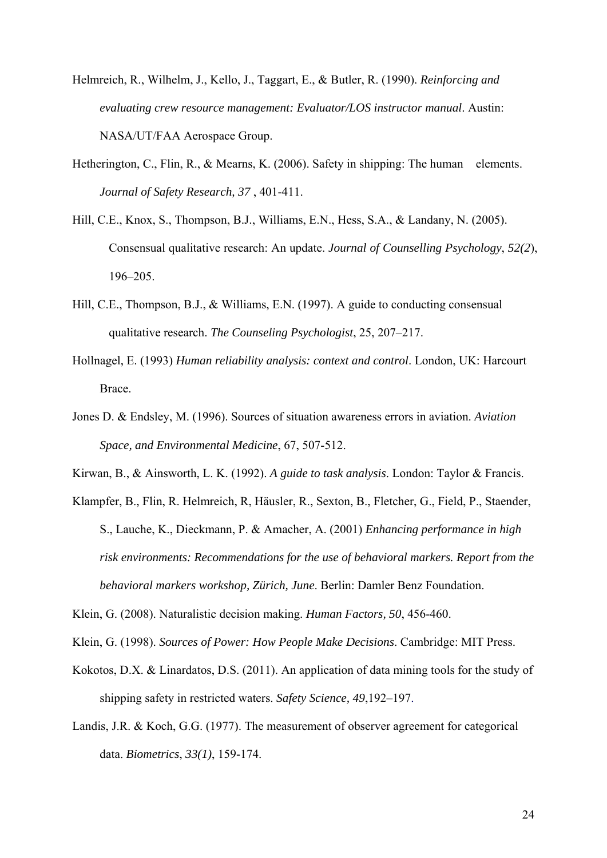- Helmreich, R., Wilhelm, J., Kello, J., Taggart, E., & Butler, R. (1990). *Reinforcing and evaluating crew resource management: Evaluator/LOS instructor manual*. Austin: NASA/UT/FAA Aerospace Group.
- Hetherington, C., Flin, R., & Mearns, K. (2006). Safety in shipping: The human elements. *Journal of Safety Research, 37* , 401-411.
- Hill, C.E., Knox, S., Thompson, B.J., Williams, E.N., Hess, S.A., & Landany, N. (2005). Consensual qualitative research: An update. *Journal of Counselling Psychology*, *52(2*), 196–205.
- Hill, C.E., Thompson, B.J., & Williams, E.N. (1997). A guide to conducting consensual qualitative research. *The Counseling Psychologist*, 25, 207–217.
- Hollnagel, E. (1993) *Human reliability analysis: context and control*. London, UK: Harcourt Brace.
- Jones D. & Endsley, M. (1996). Sources of situation awareness errors in aviation. *Aviation Space, and Environmental Medicine*, 67, 507-512.

Kirwan, B., & Ainsworth, L. K. (1992). *A guide to task analysis*. London: Taylor & Francis.

Klampfer, B., Flin, R. Helmreich, R, Häusler, R., Sexton, B., Fletcher, G., Field, P., Staender, S., Lauche, K., Dieckmann, P. & Amacher, A. (2001) *Enhancing performance in high risk environments: Recommendations for the use of behavioral markers. Report from the behavioral markers workshop, Zürich, June*. Berlin: Damler Benz Foundation.

Klein, G. (2008). Naturalistic decision making. *Human Factors, 50*, 456-460.

Klein, G. (1998). *Sources of Power: How People Make Decisions*. Cambridge: MIT Press.

- Kokotos, D.X. & Linardatos, D.S. (2011). An application of data mining tools for the study of shipping safety in restricted waters. *Safety Science, 49*,192–197.
- Landis, J.R. & Koch, G.G. (1977). The measurement of observer agreement for categorical data. *Biometrics*, *33(1)*, 159-174.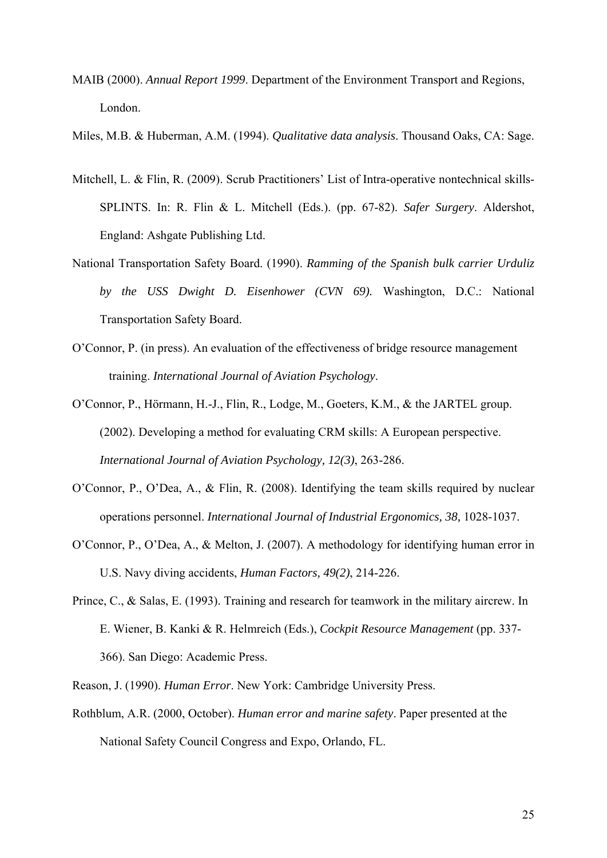- MAIB (2000). *Annual Report 1999*. Department of the Environment Transport and Regions, London.
- Miles, M.B. & Huberman, A.M. (1994). *Qualitative data analysis*. Thousand Oaks, CA: Sage.
- Mitchell, L. & Flin, R. (2009). Scrub Practitioners' List of Intra-operative nontechnical skills-SPLINTS. In: R. Flin & L. Mitchell (Eds.). (pp. 67-82). *Safer Surgery*. Aldershot, England: Ashgate Publishing Ltd.
- National Transportation Safety Board. (1990). *Ramming of the Spanish bulk carrier Urduliz by the USS Dwight D. Eisenhower (CVN 69).* Washington, D.C.: National Transportation Safety Board.
- O'Connor, P. (in press). An evaluation of the effectiveness of bridge resource management training. *International Journal of Aviation Psychology*.
- O'Connor, P., Hörmann, H.-J., Flin, R., Lodge, M., Goeters, K.M., & the JARTEL group. (2002). Developing a method for evaluating CRM skills: A European perspective. *International Journal of Aviation Psychology, 12(3)*, 263-286.
- O'Connor, P., O'Dea, A., & Flin, R. (2008). Identifying the team skills required by nuclear operations personnel. *International Journal of Industrial Ergonomics, 38,* 1028-1037.
- O'Connor, P., O'Dea, A., & Melton, J. (2007). A methodology for identifying human error in U.S. Navy diving accidents, *Human Factors, 49(2)*, 214-226.
- Prince, C., & Salas, E. (1993). Training and research for teamwork in the military aircrew. In E. Wiener, B. Kanki & R. Helmreich (Eds.), *Cockpit Resource Management* (pp. 337- 366). San Diego: Academic Press.
- Reason, J. (1990). *Human Error*. New York: Cambridge University Press.
- Rothblum, A.R. (2000, October). *Human error and marine safety*. Paper presented at the National Safety Council Congress and Expo, Orlando, FL.